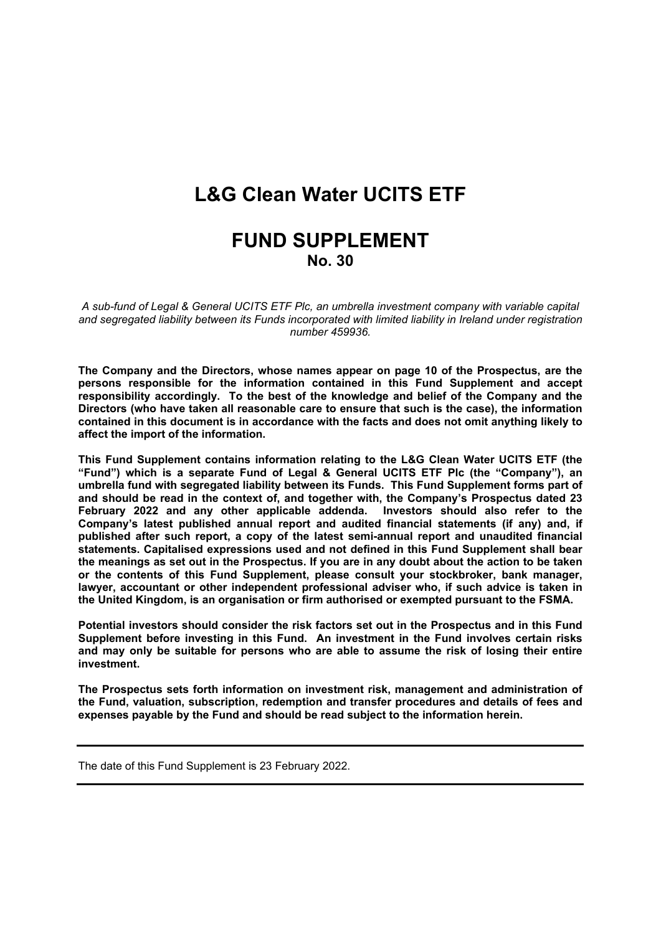# **L&G Clean Water UCITS ETF**

# **FUND SUPPLEMENT No. 30**

*A sub-fund of Legal & General UCITS ETF Plc, an umbrella investment company with variable capital and segregated liability between its Funds incorporated with limited liability in Ireland under registration number 459936.*

**The Company and the Directors, whose names appear on page 10 of the Prospectus, are the persons responsible for the information contained in this Fund Supplement and accept responsibility accordingly. To the best of the knowledge and belief of the Company and the Directors (who have taken all reasonable care to ensure that such is the case), the information contained in this document is in accordance with the facts and does not omit anything likely to affect the import of the information.**

**This Fund Supplement contains information relating to the L&G Clean Water UCITS ETF (the "Fund") which is a separate Fund of Legal & General UCITS ETF Plc (the "Company"), an umbrella fund with segregated liability between its Funds. This Fund Supplement forms part of and should be read in the context of, and together with, the Company's Prospectus dated 23 February 2022 and any other applicable addenda. Investors should also refer to the Company's latest published annual report and audited financial statements (if any) and, if published after such report, a copy of the latest semi-annual report and unaudited financial statements. Capitalised expressions used and not defined in this Fund Supplement shall bear** the meanings as set out in the Prospectus. If you are in any doubt about the action to be taken **or the contents of this Fund Supplement, please consult your stockbroker, bank manager, lawyer, accountant or other independent professional adviser who, if such advice is taken in the United Kingdom, is an organisation or firm authorised or exempted pursuant to the FSMA.**

**Potential investors should consider the risk factors set out in the Prospectus and in this Fund Supplement before investing in this Fund. An investment in the Fund involves certain risks and may only be suitable for persons who are able to assume the risk of losing their entire investment.**

**The Prospectus sets forth information on investment risk, management and administration of the Fund, valuation, subscription, redemption and transfer procedures and details of fees and expenses payable by the Fund and should be read subject to the information herein.** 

The date of this Fund Supplement is 23 February 2022.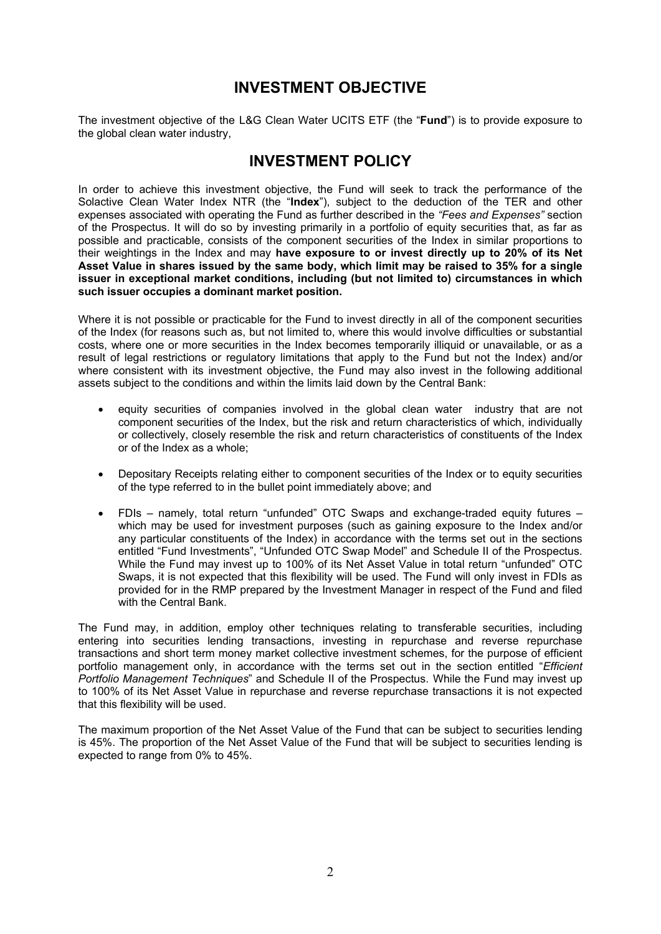### **INVESTMENT OBJECTIVE**

The investment objective of the L&G Clean Water UCITS ETF (the "**Fund**") is to provide exposure to the global clean water industry,

### **INVESTMENT POLICY**

In order to achieve this investment objective, the Fund will seek to track the performance of the Solactive Clean Water Index NTR (the "**Index**"), subject to the deduction of the TER and other expenses associated with operating the Fund as further described in the *"Fees and Expenses"* section of the Prospectus. It will do so by investing primarily in a portfolio of equity securities that, as far as possible and practicable, consists of the component securities of the Index in similar proportions to their weightings in the Index and may **have exposure to or invest directly up to 20% of its Net** Asset Value in shares issued by the same body, which limit may be raised to 35% for a single **issuer in exceptional market conditions, including (but not limited to) circumstances in which such issuer occupies a dominant market position.**

Where it is not possible or practicable for the Fund to invest directly in all of the component securities of the Index (for reasons such as, but not limited to, where this would involve difficulties or substantial costs, where one or more securities in the Index becomes temporarily illiquid or unavailable, or as a result of legal restrictions or regulatory limitations that apply to the Fund but not the Index) and/or where consistent with its investment objective, the Fund may also invest in the following additional assets subject to the conditions and within the limits laid down by the Central Bank:

- equity securities of companies involved in the global clean water industry that are not component securities of the Index, but the risk and return characteristics of which, individually or collectively, closely resemble the risk and return characteristics of constituents of the Index or of the Index as a whole;
- Depositary Receipts relating either to component securities of the Index or to equity securities of the type referred to in the bullet point immediately above; and
- FDIs namely, total return "unfunded" OTC Swaps and exchange-traded equity futures which may be used for investment purposes (such as gaining exposure to the Index and/or any particular constituents of the Index) in accordance with the terms set out in the sections entitled "Fund Investments", "Unfunded OTC Swap Model" and Schedule II of the Prospectus. While the Fund may invest up to 100% of its Net Asset Value in total return "unfunded" OTC Swaps, it is not expected that this flexibility will be used. The Fund will only invest in FDIs as provided for in the RMP prepared by the Investment Manager in respect of the Fund and filed with the Central Bank.

The Fund may, in addition, employ other techniques relating to transferable securities, including entering into securities lending transactions, investing in repurchase and reverse repurchase transactions and short term money market collective investment schemes, for the purpose of efficient portfolio management only, in accordance with the terms set out in the section entitled "*Efficient Portfolio Management Techniques*" and Schedule II of the Prospectus. While the Fund may invest up to 100% of its Net Asset Value in repurchase and reverse repurchase transactions it is not expected that this flexibility will be used.

The maximum proportion of the Net Asset Value of the Fund that can be subject to securities lending is 45%. The proportion of the Net Asset Value of the Fund that will be subject to securities lending is expected to range from 0% to 45%.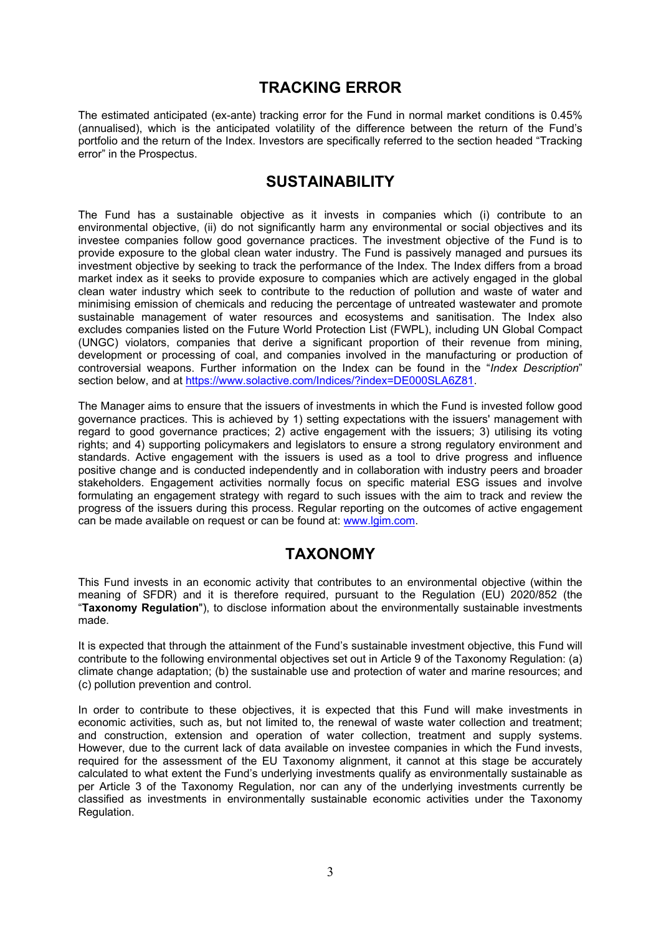### **TRACKING ERROR**

The estimated anticipated (ex-ante) tracking error for the Fund in normal market conditions is 0.45% (annualised), which is the anticipated volatility of the difference between the return of the Fund's portfolio and the return of the Index. Investors are specifically referred to the section headed "Tracking error" in the Prospectus.

### **SUSTAINABILITY**

The Fund has a sustainable objective as it invests in companies which (i) contribute to an environmental objective, (ii) do not significantly harm any environmental or social objectives and its investee companies follow good governance practices. The investment objective of the Fund is to provide exposure to the global clean water industry. The Fund is passively managed and pursues its investment objective by seeking to track the performance of the Index. The Index differs from a broad market index as it seeks to provide exposure to companies which are actively engaged in the global clean water industry which seek to contribute to the reduction of pollution and waste of water and minimising emission of chemicals and reducing the percentage of untreated wastewater and promote sustainable management of water resources and ecosystems and sanitisation. The Index also excludes companies listed on the Future World Protection List (FWPL), including UN Global Compact (UNGC) violators, companies that derive a significant proportion of their revenue from mining, development or processing of coal, and companies involved in the manufacturing or production of controversial weapons. Further information on the Index can be found in the "*Index Description*" section below, and at [https://www.solactive.com/Indices/?index=DE000SLA6Z81.](https://www.solactive.com/Indices/?index=DE000SLA6Z81)

The Manager aims to ensure that the issuers of investments in which the Fund is invested follow good governance practices. This is achieved by 1) setting expectations with the issuers' management with regard to good governance practices; 2) active engagement with the issuers; 3) utilising its voting rights; and 4) supporting policymakers and legislators to ensure a strong regulatory environment and standards. Active engagement with the issuers is used as a tool to drive progress and influence positive change and is conducted independently and in collaboration with industry peers and broader stakeholders. Engagement activities normally focus on specific material ESG issues and involve formulating an engagement strategy with regard to such issues with the aim to track and review the progress of the issuers during this process. Regular reporting on the outcomes of active engagement can be made available on request or can be found at: [www.lgim.com](https://eur03.safelinks.protection.outlook.com/?url=http%3A%2F%2Fwww.lgim.com%2F&data=04%7C01%7CEliza.Ruddy%40lgim.com%7Ce086a20842c84f1301b008d8ccf7a064%7Cd246baabcc004ed2bc4ef8a46cbc590d%7C0%7C0%7C637484711205446679%7CUnknown%7CTWFpbGZsb3d8eyJWIjoiMC4wLjAwMDAiLCJQIjoiV2luMzIiLCJBTiI6Ik1haWwiLCJXVCI6Mn0%3D%7C1000&sdata=R6FKZDSBDWvzOmay7OEPMexWEUA2HZdkEFwKOofiW%2FM%3D&reserved=0).

### **TAXONOMY**

This Fund invests in an economic activity that contributes to an environmental objective (within the meaning of SFDR) and it is therefore required, pursuant to the Regulation (EU) 2020/852 (the "**Taxonomy Regulation**"), to disclose information about the environmentally sustainable investments made.

It is expected that through the attainment of the Fund's sustainable investment objective, this Fund will contribute to the following environmental objectives set out in Article 9 of the Taxonomy Regulation: (a) climate change adaptation; (b) the sustainable use and protection of water and marine resources; and (c) pollution prevention and control.

In order to contribute to these objectives, it is expected that this Fund will make investments in economic activities, such as, but not limited to, the renewal of waste water collection and treatment; and construction, extension and operation of water collection, treatment and supply systems. However, due to the current lack of data available on investee companies in which the Fund invests, required for the assessment of the EU Taxonomy alignment, it cannot at this stage be accurately calculated to what extent the Fund's underlying investments qualify as environmentally sustainable as per Article 3 of the Taxonomy Regulation, nor can any of the underlying investments currently be classified as investments in environmentally sustainable economic activities under the Taxonomy Regulation.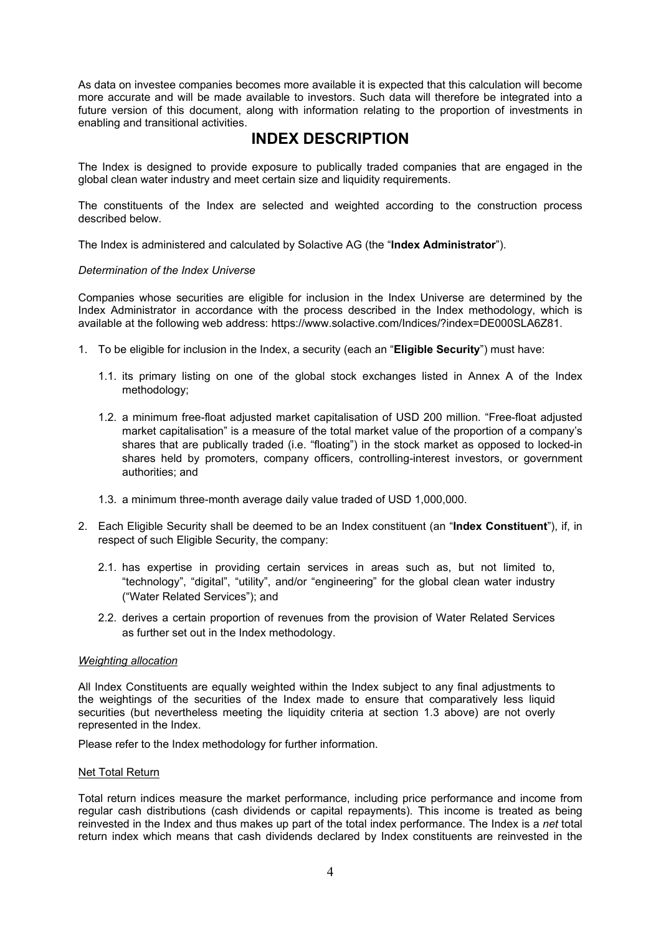As data on investee companies becomes more available it is expected that this calculation will become more accurate and will be made available to investors. Such data will therefore be integrated into a future version of this document, along with information relating to the proportion of investments in enabling and transitional activities.

### **INDEX DESCRIPTION**

The Index is designed to provide exposure to publically traded companies that are engaged in the global clean water industry and meet certain size and liquidity requirements.

The constituents of the Index are selected and weighted according to the construction process described below.

The Index is administered and calculated by Solactive AG (the "**Index Administrator**").

#### *Determination of the Index Universe*

Companies whose securities are eligible for inclusion in the Index Universe are determined by the Index Administrator in accordance with the process described in the Index methodology, which is available at the following web address: https://www.solactive.com/Indices/?index=DE000SLA6Z81.

- 1. To be eligible for inclusion in the Index, a security (each an "**Eligible Security**") must have:
	- 1.1. its primary listing on one of the global stock exchanges listed in Annex A of the Index methodology;
	- 1.2. a minimum free-float adjusted market capitalisation of USD 200 million. "Free-float adjusted market capitalisation" is a measure of the total market value of the proportion of a company's shares that are publically traded (i.e. "floating") in the stock market as opposed to locked-in shares held by promoters, company officers, controlling-interest investors, or government authorities; and
	- 1.3. a minimum three-month average daily value traded of USD 1,000,000.
- 2. Each Eligible Security shall be deemed to be an Index constituent (an "**Index Constituent**"), if, in respect of such Eligible Security, the company:
	- 2.1. has expertise in providing certain services in areas such as, but not limited to, "technology", "digital", "utility", and/or "engineering" for the global clean water industry ("Water Related Services"); and
	- 2.2. derives a certain proportion of revenues from the provision of Water Related Services as further set out in the Index methodology.

#### *Weighting allocation*

All Index Constituents are equally weighted within the Index subject to any final adjustments to the weightings of the securities of the Index made to ensure that comparatively less liquid securities (but nevertheless meeting the liquidity criteria at section 1.3 above) are not overly represented in the Index.

Please refer to the Index methodology for further information.

#### Net Total Return

Total return indices measure the market performance, including price performance and income from regular cash distributions (cash dividends or capital repayments). This income is treated as being reinvested in the Index and thus makes up part of the total index performance. The Index is a *net* total return index which means that cash dividends declared by Index constituents are reinvested in the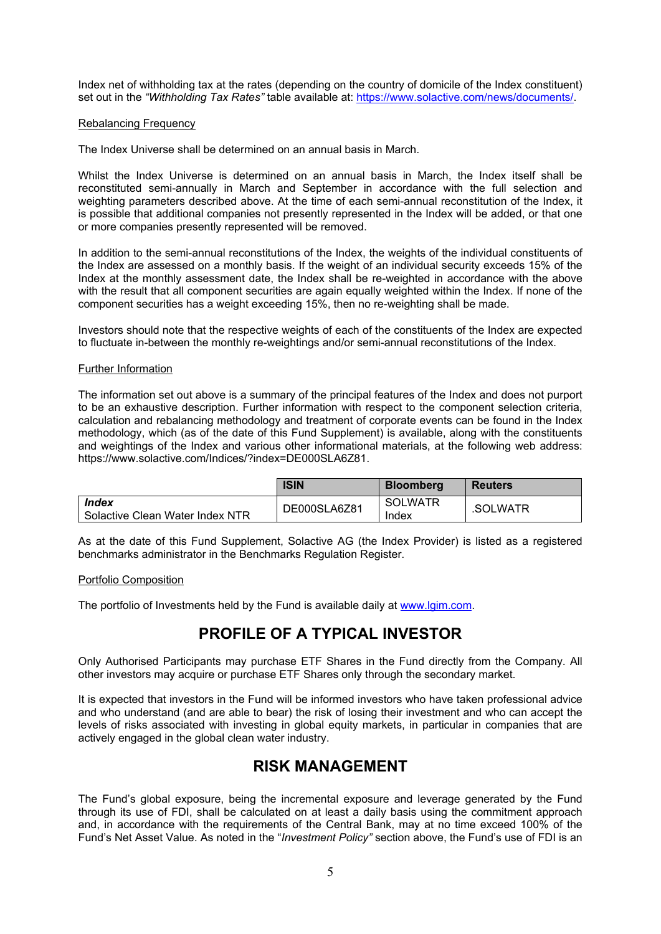Index net of withholding tax at the rates (depending on the country of domicile of the Index constituent) set out in the *"Withholding Tax Rates"* table available at: [https://www.solactive.com/news/documents/.](https://www.solactive.com/news/documents/)

#### Rebalancing Frequency

The Index Universe shall be determined on an annual basis in March.

Whilst the Index Universe is determined on an annual basis in March, the Index itself shall be reconstituted semi-annually in March and September in accordance with the full selection and weighting parameters described above. At the time of each semi-annual reconstitution of the Index, it is possible that additional companies not presently represented in the Index will be added, or that one or more companies presently represented will be removed.

In addition to the semi-annual reconstitutions of the Index, the weights of the individual constituents of the Index are assessed on a monthly basis. If the weight of an individual security exceeds 15% of the Index at the monthly assessment date, the Index shall be re-weighted in accordance with the above with the result that all component securities are again equally weighted within the Index. If none of the component securities has a weight exceeding 15%, then no re-weighting shall be made.

Investors should note that the respective weights of each of the constituents of the Index are expected to fluctuate in-between the monthly re-weightings and/or semi-annual reconstitutions of the Index.

#### Further Information

The information set out above is a summary of the principal features of the Index and does not purport to be an exhaustive description. Further information with respect to the component selection criteria, calculation and rebalancing methodology and treatment of corporate events can be found in the Index methodology, which (as of the date of this Fund Supplement) is available, along with the constituents and weightings of the Index and various other informational materials, at the following web address: https://www.solactive.com/Indices/?index=DE000SLA6Z81.

|                                                        | <b>ISIN</b>  | <b>Bloomberg</b>        | <b>Reuters</b> |
|--------------------------------------------------------|--------------|-------------------------|----------------|
| <i><b>Index</b></i><br>Solactive Clean Water Index NTR | DE000SLA6Z81 | <b>SOLWATR</b><br>Index | .SOLWATR       |

As at the date of this Fund Supplement, Solactive AG (the Index Provider) is listed as a registered benchmarks administrator in the Benchmarks Regulation Register.

#### Portfolio Composition

The portfolio of Investments held by the Fund is available daily at [www.lgim.com](http://www.lgim.com/).

## **PROFILE OF A TYPICAL INVESTOR**

Only Authorised Participants may purchase ETF Shares in the Fund directly from the Company. All other investors may acquire or purchase ETF Shares only through the secondary market.

It is expected that investors in the Fund will be informed investors who have taken professional advice and who understand (and are able to bear) the risk of losing their investment and who can accept the levels of risks associated with investing in global equity markets, in particular in companies that are actively engaged in the global clean water industry.

### **RISK MANAGEMENT**

The Fund's global exposure, being the incremental exposure and leverage generated by the Fund through its use of FDI, shall be calculated on at least a daily basis using the commitment approach and, in accordance with the requirements of the Central Bank, may at no time exceed 100% of the Fund's Net Asset Value. As noted in the "*Investment Policy"* section above, the Fund's use of FDI is an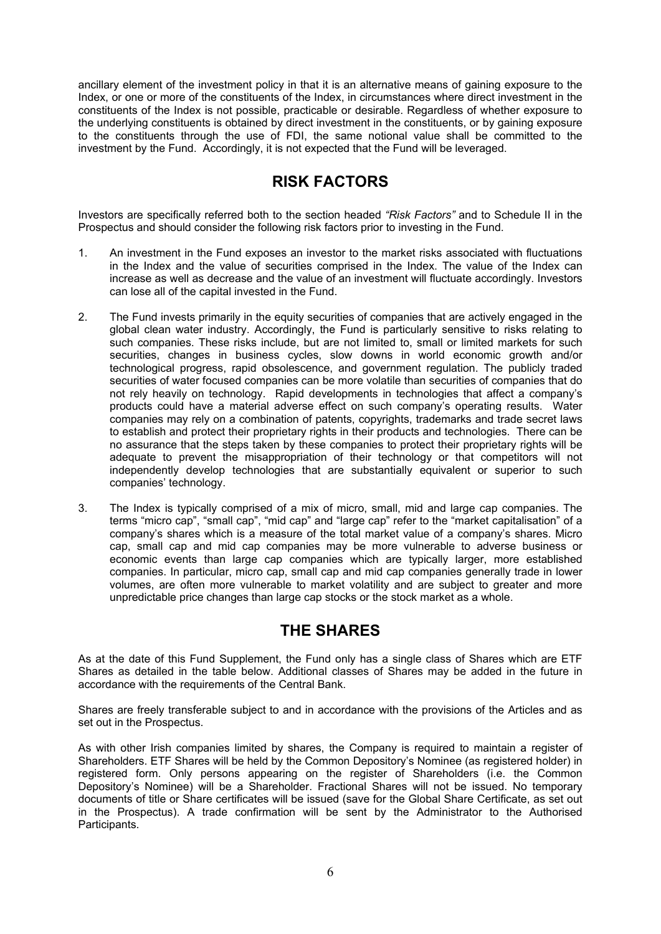ancillary element of the investment policy in that it is an alternative means of gaining exposure to the Index, or one or more of the constituents of the Index, in circumstances where direct investment in the constituents of the Index is not possible, practicable or desirable. Regardless of whether exposure to the underlying constituents is obtained by direct investment in the constituents, or by gaining exposure to the constituents through the use of FDI, the same notional value shall be committed to the investment by the Fund. Accordingly, it is not expected that the Fund will be leveraged.

# **RISK FACTORS**

Investors are specifically referred both to the section headed *"Risk Factors"* and to Schedule II in the Prospectus and should consider the following risk factors prior to investing in the Fund.

- 1. An investment in the Fund exposes an investor to the market risks associated with fluctuations in the Index and the value of securities comprised in the Index. The value of the Index can increase as well as decrease and the value of an investment will fluctuate accordingly. Investors can lose all of the capital invested in the Fund.
- 2. The Fund invests primarily in the equity securities of companies that are actively engaged in the global clean water industry. Accordingly, the Fund is particularly sensitive to risks relating to such companies. These risks include, but are not limited to, small or limited markets for such securities, changes in business cycles, slow downs in world economic growth and/or technological progress, rapid obsolescence, and government regulation. The publicly traded securities of water focused companies can be more volatile than securities of companies that do not rely heavily on technology. Rapid developments in technologies that affect a company's products could have a material adverse effect on such company's operating results. Water companies may rely on a combination of patents, copyrights, trademarks and trade secret laws to establish and protect their proprietary rights in their products and technologies. There can be no assurance that the steps taken by these companies to protect their proprietary rights will be adequate to prevent the misappropriation of their technology or that competitors will not independently develop technologies that are substantially equivalent or superior to such companies' technology.
- 3. The Index is typically comprised of a mix of micro, small, mid and large cap companies. The terms "micro cap", "small cap", "mid cap" and "large cap" refer to the "market capitalisation" of a company's shares which is a measure of the total market value of a company's shares. Micro cap, small cap and mid cap companies may be more vulnerable to adverse business or economic events than large cap companies which are typically larger, more established companies. In particular, micro cap, small cap and mid cap companies generally trade in lower volumes, are often more vulnerable to market volatility and are subject to greater and more unpredictable price changes than large cap stocks or the stock market as a whole.

### **THE SHARES**

As at the date of this Fund Supplement, the Fund only has a single class of Shares which are ETF Shares as detailed in the table below. Additional classes of Shares may be added in the future in accordance with the requirements of the Central Bank.

Shares are freely transferable subject to and in accordance with the provisions of the Articles and as set out in the Prospectus.

As with other Irish companies limited by shares, the Company is required to maintain a register of Shareholders. ETF Shares will be held by the Common Depository's Nominee (as registered holder) in registered form. Only persons appearing on the register of Shareholders (i.e. the Common Depository's Nominee) will be a Shareholder. Fractional Shares will not be issued. No temporary documents of title or Share certificates will be issued (save for the Global Share Certificate, as set out in the Prospectus). A trade confirmation will be sent by the Administrator to the Authorised Participants.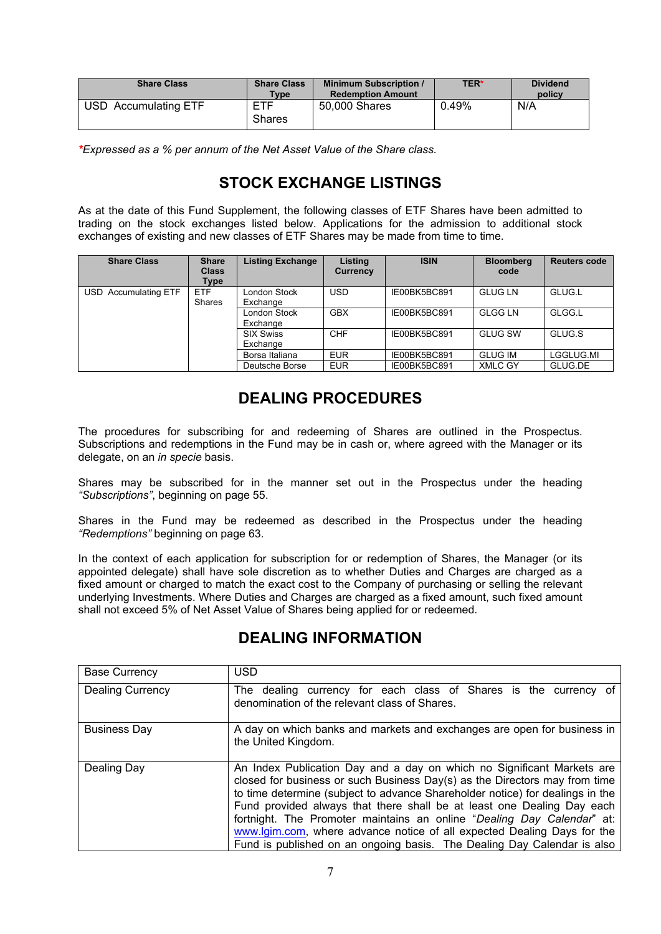| <b>Share Class</b>        | <b>Share Class</b><br>Type <sub>1</sub> | <b>Minimum Subscription /</b><br><b>Redemption Amount</b> | <b>TER*</b> | <b>Dividend</b><br>policy |
|---------------------------|-----------------------------------------|-----------------------------------------------------------|-------------|---------------------------|
| USD -<br>Accumulating ETF | <b>ETF</b><br><b>Shares</b>             | 50,000 Shares                                             | 0.49%       | N/A                       |

*\*Expressed as a % per annum of the Net Asset Value of the Share class.* 

# **STOCK EXCHANGE LISTINGS**

As at the date of this Fund Supplement, the following classes of ETF Shares have been admitted to trading on the stock exchanges listed below. Applications for the admission to additional stock exchanges of existing and new classes of ETF Shares may be made from time to time.

| <b>Share Class</b>   | <b>Share</b><br><b>Class</b><br>Type | <b>Listing Exchange</b>      | Listing<br>Currency | <b>ISIN</b>  | <b>Bloomberg</b><br>code | <b>Reuters code</b> |
|----------------------|--------------------------------------|------------------------------|---------------------|--------------|--------------------------|---------------------|
| USD Accumulating ETF | <b>ETF</b><br>Shares                 | London Stock<br>Exchange     | <b>USD</b>          | IE00BK5BC891 | <b>GLUG LN</b>           | GLUG.L              |
|                      |                                      | London Stock<br>Exchange     | <b>GBX</b>          | IE00BK5BC891 | <b>GLGG LN</b>           | GLGG.L              |
|                      |                                      | <b>SIX Swiss</b><br>Exchange | <b>CHF</b>          | IE00BK5BC891 | <b>GLUG SW</b>           | GLUG.S              |
|                      |                                      | Borsa Italiana               | <b>EUR</b>          | IE00BK5BC891 | <b>GLUG IM</b>           | LGGLUG.MI           |
|                      |                                      | Deutsche Borse               | <b>EUR</b>          | IE00BK5BC891 | <b>XMLC GY</b>           | GLUG.DE             |

# **DEALING PROCEDURES**

The procedures for subscribing for and redeeming of Shares are outlined in the Prospectus. Subscriptions and redemptions in the Fund may be in cash or, where agreed with the Manager or its delegate, on an *in specie* basis.

Shares may be subscribed for in the manner set out in the Prospectus under the heading *"Subscriptions"*, beginning on page 55.

Shares in the Fund may be redeemed as described in the Prospectus under the heading *"Redemptions"* beginning on page 63.

In the context of each application for subscription for or redemption of Shares, the Manager (or its appointed delegate) shall have sole discretion as to whether Duties and Charges are charged as a fixed amount or charged to match the exact cost to the Company of purchasing or selling the relevant underlying Investments. Where Duties and Charges are charged as a fixed amount, such fixed amount shall not exceed 5% of Net Asset Value of Shares being applied for or redeemed.

| <b>Base Currency</b>    | <b>USD</b>                                                                                                                                                                                                                                                                                                                                                                                                                                                                                                                                      |
|-------------------------|-------------------------------------------------------------------------------------------------------------------------------------------------------------------------------------------------------------------------------------------------------------------------------------------------------------------------------------------------------------------------------------------------------------------------------------------------------------------------------------------------------------------------------------------------|
| <b>Dealing Currency</b> | The dealing currency for each class of Shares is the currency of<br>denomination of the relevant class of Shares.                                                                                                                                                                                                                                                                                                                                                                                                                               |
| <b>Business Day</b>     | A day on which banks and markets and exchanges are open for business in<br>the United Kingdom.                                                                                                                                                                                                                                                                                                                                                                                                                                                  |
| Dealing Day             | An Index Publication Day and a day on which no Significant Markets are<br>closed for business or such Business Day(s) as the Directors may from time<br>to time determine (subject to advance Shareholder notice) for dealings in the<br>Fund provided always that there shall be at least one Dealing Day each<br>fortnight. The Promoter maintains an online "Dealing Day Calendar" at:<br>www.lgim.com, where advance notice of all expected Dealing Days for the<br>Fund is published on an ongoing basis. The Dealing Day Calendar is also |

# **DEALING INFORMATION**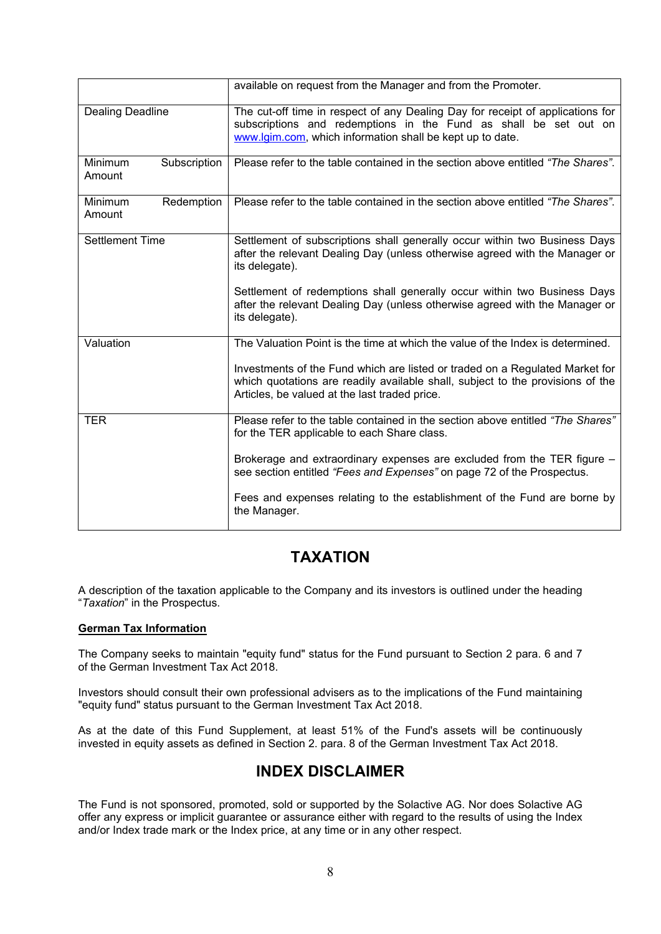|                                   | available on request from the Manager and from the Promoter.                                                                                                                                                    |
|-----------------------------------|-----------------------------------------------------------------------------------------------------------------------------------------------------------------------------------------------------------------|
| <b>Dealing Deadline</b>           | The cut-off time in respect of any Dealing Day for receipt of applications for<br>subscriptions and redemptions in the Fund as shall be set out on<br>www.lgim.com, which information shall be kept up to date. |
| Minimum<br>Subscription<br>Amount | Please refer to the table contained in the section above entitled "The Shares".                                                                                                                                 |
| Minimum<br>Redemption<br>Amount   | Please refer to the table contained in the section above entitled "The Shares".                                                                                                                                 |
| <b>Settlement Time</b>            | Settlement of subscriptions shall generally occur within two Business Days<br>after the relevant Dealing Day (unless otherwise agreed with the Manager or<br>its delegate).                                     |
|                                   | Settlement of redemptions shall generally occur within two Business Days<br>after the relevant Dealing Day (unless otherwise agreed with the Manager or<br>its delegate).                                       |
| Valuation                         | The Valuation Point is the time at which the value of the Index is determined.                                                                                                                                  |
|                                   | Investments of the Fund which are listed or traded on a Regulated Market for<br>which quotations are readily available shall, subject to the provisions of the<br>Articles, be valued at the last traded price. |
| <b>TER</b>                        | Please refer to the table contained in the section above entitled "The Shares"<br>for the TER applicable to each Share class.                                                                                   |
|                                   | Brokerage and extraordinary expenses are excluded from the TER figure -<br>see section entitled "Fees and Expenses" on page 72 of the Prospectus.                                                               |
|                                   | Fees and expenses relating to the establishment of the Fund are borne by<br>the Manager.                                                                                                                        |

## **TAXATION**

A description of the taxation applicable to the Company and its investors is outlined under the heading "*Taxation*" in the Prospectus.

#### **German Tax Information**

The Company seeks to maintain "equity fund" status for the Fund pursuant to Section 2 para. 6 and 7 of the German Investment Tax Act 2018.

Investors should consult their own professional advisers as to the implications of the Fund maintaining "equity fund" status pursuant to the German Investment Tax Act 2018.

As at the date of this Fund Supplement, at least 51% of the Fund's assets will be continuously invested in equity assets as defined in Section 2. para. 8 of the German Investment Tax Act 2018.

# **INDEX DISCLAIMER**

The Fund is not sponsored, promoted, sold or supported by the Solactive AG. Nor does Solactive AG offer any express or implicit guarantee or assurance either with regard to the results of using the Index and/or Index trade mark or the Index price, at any time or in any other respect.